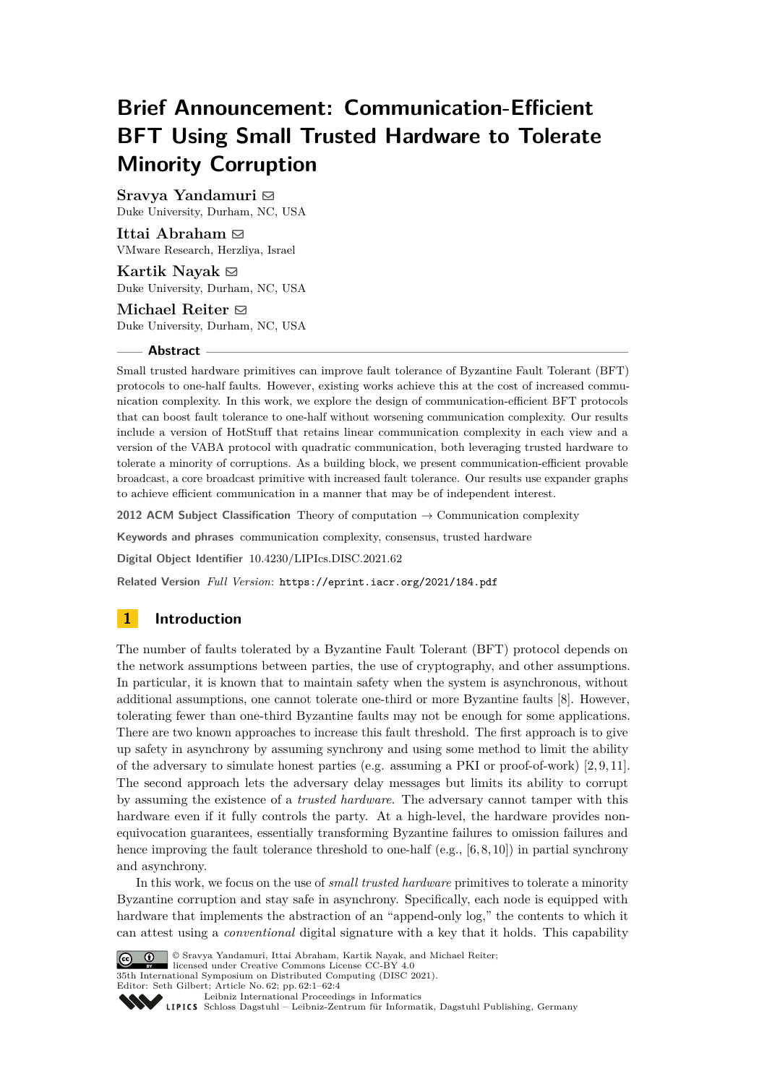# **Brief Announcement: Communication-Efficient BFT Using Small Trusted Hardware to Tolerate Minority Corruption**

# Sravya Yandamuri **⊠**

Duke University, Durham, NC, USA

**Ittai Abraham** $\boxtimes$ VMware Research, Herzliya, Israel

**Kartik Nayak** ⊠ Duke University, Durham, NC, USA

**Michael Reiter** ⊠ Duke University, Durham, NC, USA

### **Abstract**

Small trusted hardware primitives can improve fault tolerance of Byzantine Fault Tolerant (BFT) protocols to one-half faults. However, existing works achieve this at the cost of increased communication complexity. In this work, we explore the design of communication-efficient BFT protocols that can boost fault tolerance to one-half without worsening communication complexity. Our results include a version of HotStuff that retains linear communication complexity in each view and a version of the VABA protocol with quadratic communication, both leveraging trusted hardware to tolerate a minority of corruptions. As a building block, we present communication-efficient provable broadcast, a core broadcast primitive with increased fault tolerance. Our results use expander graphs to achieve efficient communication in a manner that may be of independent interest.

**2012 ACM Subject Classification** Theory of computation → Communication complexity

**Keywords and phrases** communication complexity, consensus, trusted hardware

**Digital Object Identifier** [10.4230/LIPIcs.DISC.2021.62](https://doi.org/10.4230/LIPIcs.DISC.2021.62)

**Related Version** *Full Version*: <https://eprint.iacr.org/2021/184.pdf>

# **1 Introduction**

The number of faults tolerated by a Byzantine Fault Tolerant (BFT) protocol depends on the network assumptions between parties, the use of cryptography, and other assumptions. In particular, it is known that to maintain safety when the system is asynchronous, without additional assumptions, one cannot tolerate one-third or more Byzantine faults [\[8\]](#page-3-0). However, tolerating fewer than one-third Byzantine faults may not be enough for some applications. There are two known approaches to increase this fault threshold. The first approach is to give up safety in asynchrony by assuming synchrony and using some method to limit the ability of the adversary to simulate honest parties (e.g. assuming a PKI or proof-of-work)  $[2, 9, 11]$  $[2, 9, 11]$  $[2, 9, 11]$ . The second approach lets the adversary delay messages but limits its ability to corrupt by assuming the existence of a *trusted hardware*. The adversary cannot tamper with this hardware even if it fully controls the party. At a high-level, the hardware provides nonequivocation guarantees, essentially transforming Byzantine failures to omission failures and hence improving the fault tolerance threshold to one-half (e.g.,  $[6, 8, 10]$  $[6, 8, 10]$  $[6, 8, 10]$ ) in partial synchrony and asynchrony.

In this work, we focus on the use of *small trusted hardware* primitives to tolerate a minority Byzantine corruption and stay safe in asynchrony. Specifically, each node is equipped with hardware that implements the abstraction of an "append-only log," the contents to which it can attest using a *conventional* digital signature with a key that it holds. This capability



© Sravya Yandamuri, Ittai Abraham, Kartik Nayak, and Michael Reiter; licensed under Creative Commons License CC-BY 4.0

35th International Symposium on Distributed Computing (DISC 2021).

Editor: Seth Gilbert; Article No. 62; pp. 62:1–62:4 [Leibniz International Proceedings in Informatics](https://www.dagstuhl.de/lipics/)

Leibniz International Froceedings in Informatik, Dagstuhl Publishing, Germany<br>LIPICS [Schloss Dagstuhl – Leibniz-Zentrum für Informatik, Dagstuhl Publishing, Germany](https://www.dagstuhl.de)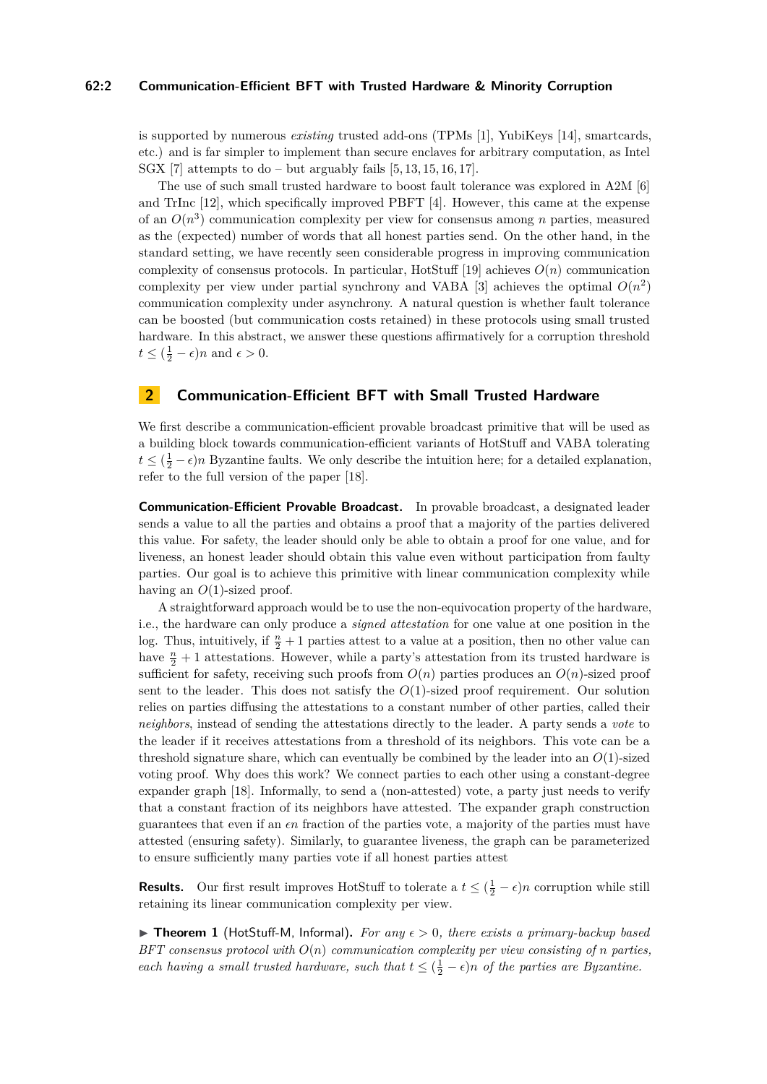## **62:2 Communication-Efficient BFT with Trusted Hardware & Minority Corruption**

is supported by numerous *existing* trusted add-ons (TPMs [\[1\]](#page-3-6), YubiKeys [\[14\]](#page-3-7), smartcards, etc.) and is far simpler to implement than secure enclaves for arbitrary computation, as Intel SGX [\[7\]](#page-3-8) attempts to do – but arguably fails  $[5, 13, 15, 16, 17]$  $[5, 13, 15, 16, 17]$  $[5, 13, 15, 16, 17]$  $[5, 13, 15, 16, 17]$  $[5, 13, 15, 16, 17]$ .

The use of such small trusted hardware to boost fault tolerance was explored in A2M [\[6\]](#page-3-4) and TrInc [\[12\]](#page-3-14), which specifically improved PBFT [\[4\]](#page-3-15). However, this came at the expense of an  $O(n^3)$  communication complexity per view for consensus among *n* parties, measured as the (expected) number of words that all honest parties send. On the other hand, in the standard setting, we have recently seen considerable progress in improving communication complexity of consensus protocols. In particular, HotStuff  $[19]$  achieves  $O(n)$  communication complexity per view under partial synchrony and VABA [\[3\]](#page-3-17) achieves the optimal  $O(n^2)$ communication complexity under asynchrony. A natural question is whether fault tolerance can be boosted (but communication costs retained) in these protocols using small trusted hardware. In this abstract, we answer these questions affirmatively for a corruption threshold  $t \leq (\frac{1}{2} - \epsilon)n$  and  $\epsilon > 0$ .

## **2 Communication-Efficient BFT with Small Trusted Hardware**

We first describe a communication-efficient provable broadcast primitive that will be used as a building block towards communication-efficient variants of HotStuff and VABA tolerating  $t \leq (\frac{1}{2} - \epsilon)n$  Byzantine faults. We only describe the intuition here; for a detailed explanation, refer to the full version of the paper [\[18\]](#page-3-18).

**Communication-Efficient Provable Broadcast.** In provable broadcast, a designated leader sends a value to all the parties and obtains a proof that a majority of the parties delivered this value. For safety, the leader should only be able to obtain a proof for one value, and for liveness, an honest leader should obtain this value even without participation from faulty parties. Our goal is to achieve this primitive with linear communication complexity while having an  $O(1)$ -sized proof.

A straightforward approach would be to use the non-equivocation property of the hardware, i.e., the hardware can only produce a *signed attestation* for one value at one position in the log. Thus, intuitively, if  $\frac{n}{2} + 1$  parties attest to a value at a position, then no other value can have  $\frac{n}{2} + 1$  attestations. However, while a party's attestation from its trusted hardware is sufficient for safety, receiving such proofs from  $O(n)$  parties produces an  $O(n)$ -sized proof sent to the leader. This does not satisfy the  $O(1)$ -sized proof requirement. Our solution relies on parties diffusing the attestations to a constant number of other parties, called their *neighbors*, instead of sending the attestations directly to the leader. A party sends a *vote* to the leader if it receives attestations from a threshold of its neighbors. This vote can be a threshold signature share, which can eventually be combined by the leader into an *O*(1)-sized voting proof. Why does this work? We connect parties to each other using a constant-degree expander graph [\[18\]](#page-3-18). Informally, to send a (non-attested) vote, a party just needs to verify that a constant fraction of its neighbors have attested. The expander graph construction guarantees that even if an *ϵn* fraction of the parties vote, a majority of the parties must have attested (ensuring safety). Similarly, to guarantee liveness, the graph can be parameterized to ensure sufficiently many parties vote if all honest parties attest

**Results.** Our first result improves HotStuff to tolerate a  $t \leq (\frac{1}{2} - \epsilon)n$  corruption while still retaining its linear communication complexity per view.

▶ **Theorem 1** (HotStuff-M, Informal)**.** *For any ϵ >* 0*, there exists a primary-backup based BFT consensus protocol with O*(*n*) *communication complexity per view consisting of n parties, each having a small trusted hardware, such that*  $t \leq (\frac{1}{2} - \epsilon)n$  *of the parties are Byzantine.*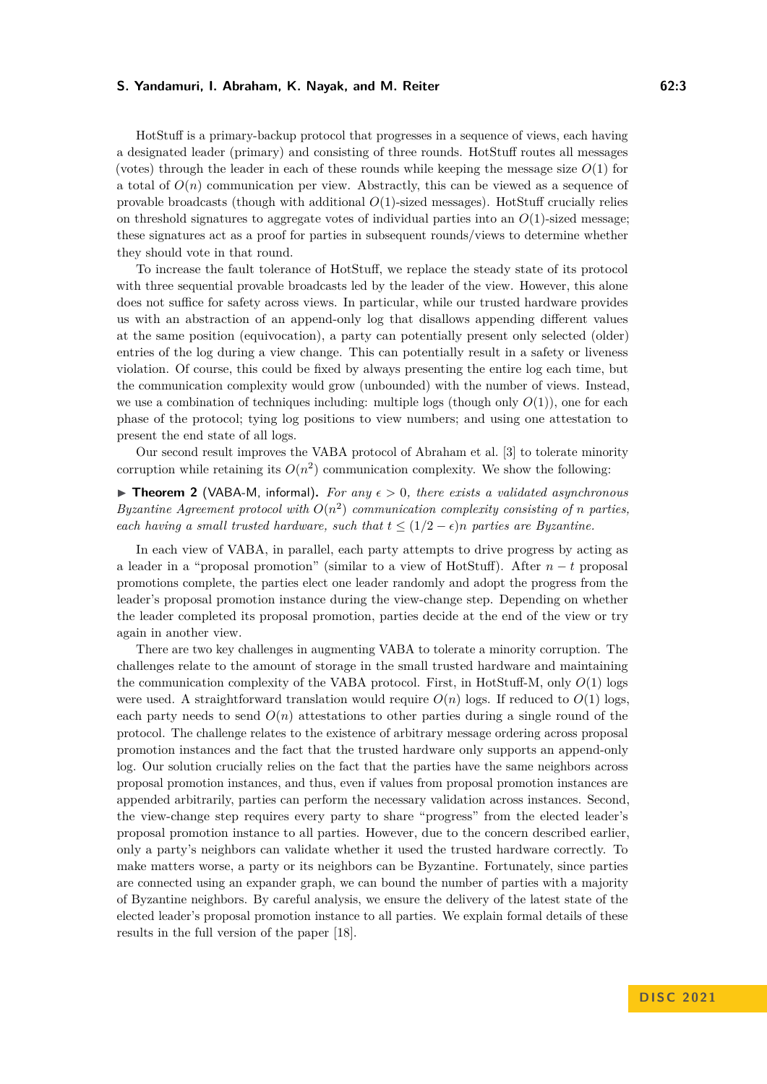#### **S. Yandamuri, I. Abraham, K. Nayak, and M. Reiter 62:3 62:3**

HotStuff is a primary-backup protocol that progresses in a sequence of views, each having a designated leader (primary) and consisting of three rounds. HotStuff routes all messages (votes) through the leader in each of these rounds while keeping the message size  $O(1)$  for a total of  $O(n)$  communication per view. Abstractly, this can be viewed as a sequence of provable broadcasts (though with additional *O*(1)-sized messages). HotStuff crucially relies on threshold signatures to aggregate votes of individual parties into an  $O(1)$ -sized message; these signatures act as a proof for parties in subsequent rounds/views to determine whether they should vote in that round.

To increase the fault tolerance of HotStuff, we replace the steady state of its protocol with three sequential provable broadcasts led by the leader of the view. However, this alone does not suffice for safety across views. In particular, while our trusted hardware provides us with an abstraction of an append-only log that disallows appending different values at the same position (equivocation), a party can potentially present only selected (older) entries of the log during a view change. This can potentially result in a safety or liveness violation. Of course, this could be fixed by always presenting the entire log each time, but the communication complexity would grow (unbounded) with the number of views. Instead, we use a combination of techniques including: multiple logs (though only  $O(1)$ ), one for each phase of the protocol; tying log positions to view numbers; and using one attestation to present the end state of all logs.

Our second result improves the VABA protocol of Abraham et al. [\[3\]](#page-3-17) to tolerate minority corruption while retaining its  $O(n^2)$  communication complexity. We show the following:

▶ **Theorem 2** (VABA-M, informal)**.** *For any ϵ >* 0*, there exists a validated asynchronous Byzantine Agreement protocol with*  $O(n^2)$  *communication complexity consisting of n* parties, *each having a small trusted hardware, such that*  $t \leq (1/2 - \epsilon)n$  *parties are Byzantine.* 

In each view of VABA, in parallel, each party attempts to drive progress by acting as a leader in a "proposal promotion" (similar to a view of HotStuff). After *n* − *t* proposal promotions complete, the parties elect one leader randomly and adopt the progress from the leader's proposal promotion instance during the view-change step. Depending on whether the leader completed its proposal promotion, parties decide at the end of the view or try again in another view.

There are two key challenges in augmenting VABA to tolerate a minority corruption. The challenges relate to the amount of storage in the small trusted hardware and maintaining the communication complexity of the VABA protocol. First, in HotStuff-M, only *O*(1) logs were used. A straightforward translation would require  $O(n)$  logs. If reduced to  $O(1)$  logs, each party needs to send  $O(n)$  attestations to other parties during a single round of the protocol. The challenge relates to the existence of arbitrary message ordering across proposal promotion instances and the fact that the trusted hardware only supports an append-only log. Our solution crucially relies on the fact that the parties have the same neighbors across proposal promotion instances, and thus, even if values from proposal promotion instances are appended arbitrarily, parties can perform the necessary validation across instances. Second, the view-change step requires every party to share "progress" from the elected leader's proposal promotion instance to all parties. However, due to the concern described earlier, only a party's neighbors can validate whether it used the trusted hardware correctly. To make matters worse, a party or its neighbors can be Byzantine. Fortunately, since parties are connected using an expander graph, we can bound the number of parties with a majority of Byzantine neighbors. By careful analysis, we ensure the delivery of the latest state of the elected leader's proposal promotion instance to all parties. We explain formal details of these results in the full version of the paper [\[18\]](#page-3-18).